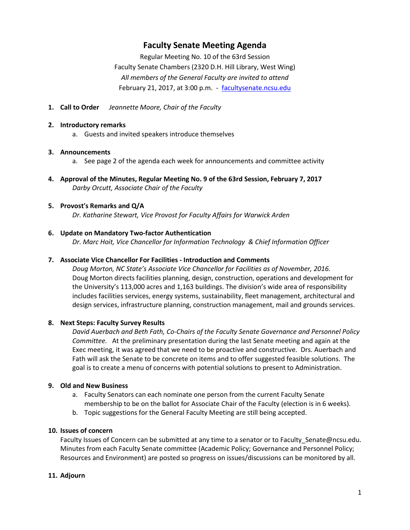# **Faculty Senate Meeting Agenda**

Regular Meeting No. 10 of the 63rd Session Faculty Senate Chambers (2320 D.H. Hill Library, West Wing) *All members of the General Faculty are invited to attend* February 21, 2017, at 3:00 p.m. - [facultysenate.ncsu.edu](https://facultysenate.ncsu.edu/)

**1. Call to Order** *Jeannette Moore, Chair of the Faculty*

#### **2. Introductory remarks**

a. Guests and invited speakers introduce themselves

#### **3. Announcements**

- a. See page 2 of the agenda each week for announcements and committee activity
- **4. Approval of the Minutes, Regular Meeting No. 9 of the 63rd Session, February 7, 2017** *Darby Orcutt, Associate Chair of the Faculty*

## **5. Provost's Remarks and Q/A**

*Dr. Katharine Stewart, Vice Provost for Faculty Affairs for Warwick Arden*

#### **6. Update on Mandatory Two-factor Authentication**

*Dr. Marc Hoit, Vice Chancellor for Information Technology & Chief Information Officer*

#### **7. Associate Vice Chancellor For Facilities - Introduction and Comments**

*Doug Morton, NC State's Associate Vice Chancellor for Facilities as of November, 2016.* Doug Morton directs facilities planning, design, construction, operations and development for the University's 113,000 acres and 1,163 buildings. The division's wide area of responsibility includes facilities services, energy systems, sustainability, fleet management, architectural and design services, infrastructure planning, construction management, mail and grounds services.

## **8. Next Steps: Faculty Survey Results**

*David Auerbach and Beth Fath, Co-Chairs of the Faculty Senate Governance and Personnel Policy Committee.* At the preliminary presentation during the last Senate meeting and again at the Exec meeting, it was agreed that we need to be proactive and constructive. Drs. Auerbach and Fath will ask the Senate to be concrete on items and to offer suggested feasible solutions. The goal is to create a menu of concerns with potential solutions to present to Administration.

## **9. Old and New Business**

- a. Faculty Senators can each nominate one person from the current Faculty Senate membership to be on the ballot for Associate Chair of the Faculty (election is in 6 weeks).
- b. Topic suggestions for the General Faculty Meeting are still being accepted.

## **10. Issues of concern**

Faculty Issues of Concern can be submitted at any time to a senator or to Faculty\_Senate@ncsu.edu. Minutes from each Faculty Senate committee (Academic Policy; Governance and Personnel Policy; Resources and Environment) are posted so progress on issues/discussions can be monitored by all.

#### **11. Adjourn**